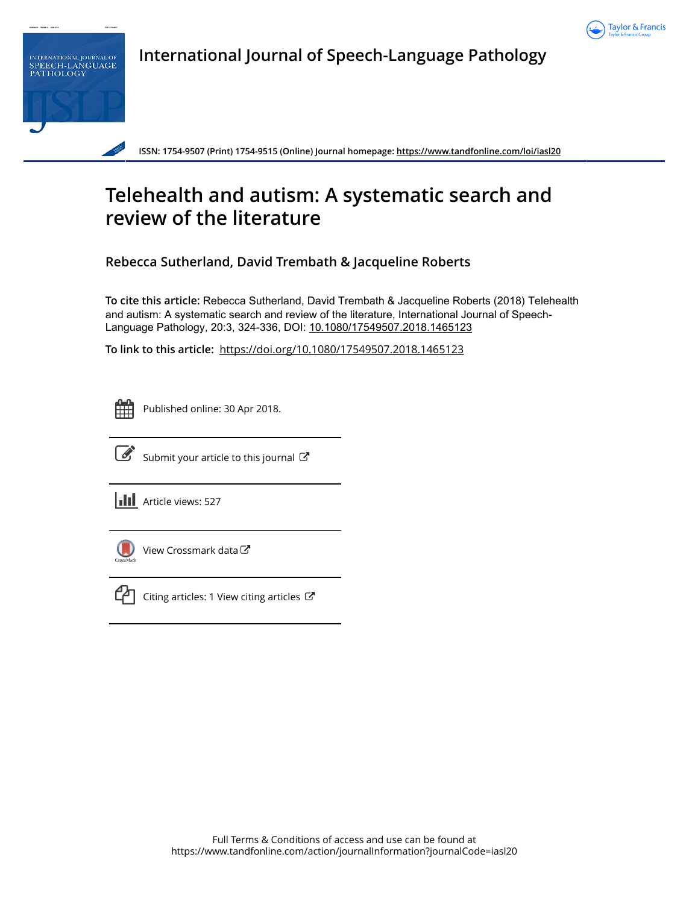



**International Journal of Speech-Language Pathology**

**ISSN: 1754-9507 (Print) 1754-9515 (Online) Journal homepage: https://www.tandfonline.com/loi/iasl20**

# **Telehealth and autism: A systematic search and review of the literature**

**Rebecca Sutherland, David Trembath & Jacqueline Roberts**

**To cite this article:** Rebecca Sutherland, David Trembath & Jacqueline Roberts (2018) Telehealth and autism: A systematic search and review of the literature, International Journal of Speech-Language Pathology, 20:3, 324-336, DOI: 10.1080/17549507.2018.1465123

**To link to this article:** https://doi.org/10.1080/17549507.2018.1465123

|  | -- | - |  |
|--|----|---|--|
|  |    |   |  |
|  |    |   |  |
|  |    |   |  |

Published online: 30 Apr 2018.



 $\overrightarrow{S}$  Submit your article to this journal  $\overrightarrow{S}$ 

**III** Article views: 527



View Crossmark data



 $\mathbb{C}$  Citing articles: 1 View citing articles  $\mathbb{C}$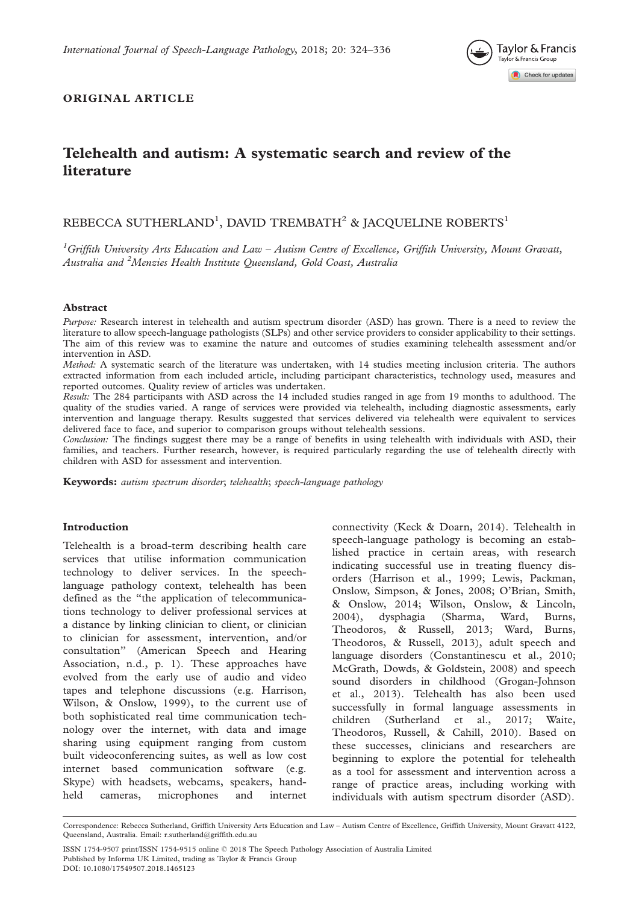

### ORIGINAL ARTICLE

# Telehealth and autism: A systematic search and review of the literature

# REBECCA SUTHERLAND<sup>1</sup>, DAVID TREMBATH<sup>2</sup> & JACQUELINE ROBERTS<sup>1</sup>

<sup>1</sup>Griffith University Arts Education and Law – Autism Centre of Excellence, Griffith University, Mount Gravatt, Australia and <sup>2</sup>Menzies Health Institute Queensland, Gold Coast, Australia

#### Abstract

Purpose: Research interest in telehealth and autism spectrum disorder (ASD) has grown. There is a need to review the literature to allow speech-language pathologists (SLPs) and other service providers to consider applicability to their settings. The aim of this review was to examine the nature and outcomes of studies examining telehealth assessment and/or intervention in ASD.

Method: A systematic search of the literature was undertaken, with 14 studies meeting inclusion criteria. The authors extracted information from each included article, including participant characteristics, technology used, measures and reported outcomes. Quality review of articles was undertaken.

Result: The 284 participants with ASD across the 14 included studies ranged in age from 19 months to adulthood. The quality of the studies varied. A range of services were provided via telehealth, including diagnostic assessments, early intervention and language therapy. Results suggested that services delivered via telehealth were equivalent to services delivered face to face, and superior to comparison groups without telehealth sessions.

Conclusion: The findings suggest there may be a range of benefits in using telehealth with individuals with ASD, their families, and teachers. Further research, however, is required particularly regarding the use of telehealth directly with children with ASD for assessment and intervention.

Keywords: autism spectrum disorder; telehealth; speech-language pathology

#### Introduction

Telehealth is a broad-term describing health care services that utilise information communication technology to deliver services. In the speechlanguage pathology context, telehealth has been defined as the ''the application of telecommunications technology to deliver professional services at a distance by linking clinician to client, or clinician to clinician for assessment, intervention, and/or consultation'' (American Speech and Hearing Association, n.d., p. 1). These approaches have evolved from the early use of audio and video tapes and telephone discussions (e.g. Harrison, Wilson, & Onslow, 1999), to the current use of both sophisticated real time communication technology over the internet, with data and image sharing using equipment ranging from custom built videoconferencing suites, as well as low cost internet based communication software (e.g. Skype) with headsets, webcams, speakers, handheld cameras, microphones and internet

connectivity (Keck & Doarn, 2014). Telehealth in speech-language pathology is becoming an established practice in certain areas, with research indicating successful use in treating fluency disorders (Harrison et al., 1999; Lewis, Packman, Onslow, Simpson, & Jones, 2008; O'Brian, Smith, & Onslow, 2014; Wilson, Onslow, & Lincoln, 2004), dysphagia (Sharma, Ward, Burns, Theodoros, & Russell, 2013; Ward, Burns, Theodoros, & Russell, 2013), adult speech and language disorders (Constantinescu et al., 2010; McGrath, Dowds, & Goldstein, 2008) and speech sound disorders in childhood (Grogan-Johnson et al., 2013). Telehealth has also been used successfully in formal language assessments in children (Sutherland et al., 2017; Waite, Theodoros, Russell, & Cahill, 2010). Based on these successes, clinicians and researchers are beginning to explore the potential for telehealth as a tool for assessment and intervention across a range of practice areas, including working with individuals with autism spectrum disorder (ASD).

ISSN 1754-9507 print/ISSN 1754-9515 online © 2018 The Speech Pathology Association of Australia Limited Published by Informa UK Limited, trading as Taylor & Francis Group DOI: 10.1080/17549507.2018.1465123

Correspondence: Rebecca Sutherland, Griffith University Arts Education and Law – Autism Centre of Excellence, Griffith University, Mount Gravatt 4122, Queensland, Australia. Email: r.sutherland@griffith.edu.au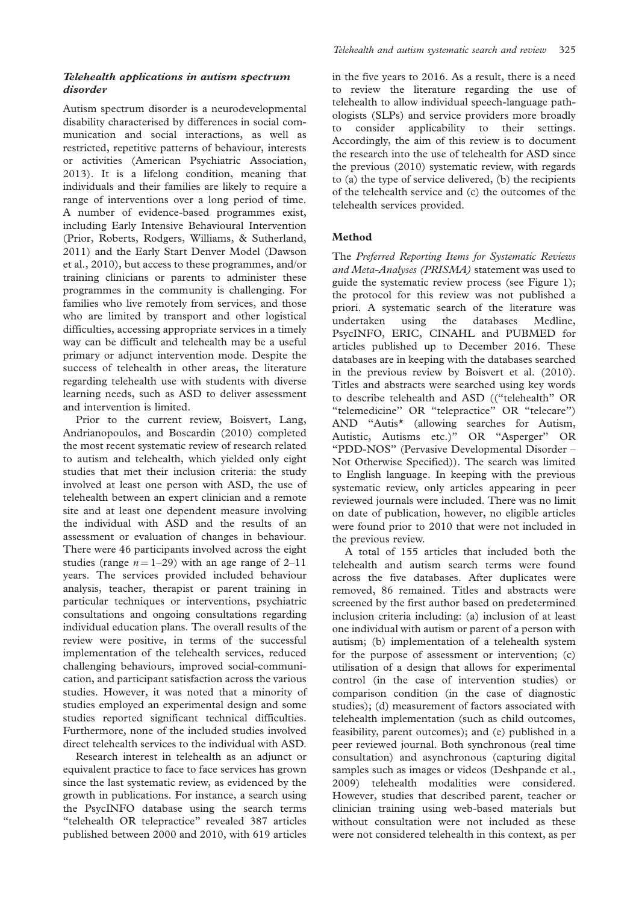### Telehealth applications in autism spectrum disorder

Autism spectrum disorder is a neurodevelopmental disability characterised by differences in social communication and social interactions, as well as restricted, repetitive patterns of behaviour, interests or activities (American Psychiatric Association, 2013). It is a lifelong condition, meaning that individuals and their families are likely to require a range of interventions over a long period of time. A number of evidence-based programmes exist, including Early Intensive Behavioural Intervention (Prior, Roberts, Rodgers, Williams, & Sutherland, 2011) and the Early Start Denver Model (Dawson et al., 2010), but access to these programmes, and/or training clinicians or parents to administer these programmes in the community is challenging. For families who live remotely from services, and those who are limited by transport and other logistical difficulties, accessing appropriate services in a timely way can be difficult and telehealth may be a useful primary or adjunct intervention mode. Despite the success of telehealth in other areas, the literature regarding telehealth use with students with diverse learning needs, such as ASD to deliver assessment and intervention is limited.

Prior to the current review, Boisvert, Lang, Andrianopoulos, and Boscardin (2010) completed the most recent systematic review of research related to autism and telehealth, which yielded only eight studies that met their inclusion criteria: the study involved at least one person with ASD, the use of telehealth between an expert clinician and a remote site and at least one dependent measure involving the individual with ASD and the results of an assessment or evaluation of changes in behaviour. There were 46 participants involved across the eight studies (range  $n = 1-29$ ) with an age range of 2–11 years. The services provided included behaviour analysis, teacher, therapist or parent training in particular techniques or interventions, psychiatric consultations and ongoing consultations regarding individual education plans. The overall results of the review were positive, in terms of the successful implementation of the telehealth services, reduced challenging behaviours, improved social-communication, and participant satisfaction across the various studies. However, it was noted that a minority of studies employed an experimental design and some studies reported significant technical difficulties. Furthermore, none of the included studies involved direct telehealth services to the individual with ASD.

Research interest in telehealth as an adjunct or equivalent practice to face to face services has grown since the last systematic review, as evidenced by the growth in publications. For instance, a search using the PsycINFO database using the search terms "telehealth OR telepractice" revealed 387 articles published between 2000 and 2010, with 619 articles

in the five years to 2016. As a result, there is a need to review the literature regarding the use of telehealth to allow individual speech-language pathologists (SLPs) and service providers more broadly to consider applicability to their settings. Accordingly, the aim of this review is to document the research into the use of telehealth for ASD since the previous (2010) systematic review, with regards to (a) the type of service delivered, (b) the recipients of the telehealth service and (c) the outcomes of the telehealth services provided.

# Method

The Preferred Reporting Items for Systematic Reviews and Meta-Analyses (PRISMA) statement was used to guide the systematic review process (see Figure 1); the protocol for this review was not published a priori. A systematic search of the literature was undertaken using the databases Medline, PsycINFO, ERIC, CINAHL and PUBMED for articles published up to December 2016. These databases are in keeping with the databases searched in the previous review by Boisvert et al. (2010). Titles and abstracts were searched using key words to describe telehealth and ASD ((''telehealth'' OR "telemedicine" OR "telepractice" OR "telecare") AND ''Autis\* (allowing searches for Autism, Autistic, Autisms etc.)'' OR ''Asperger'' OR ''PDD-NOS'' (Pervasive Developmental Disorder – Not Otherwise Specified)). The search was limited to English language. In keeping with the previous systematic review, only articles appearing in peer reviewed journals were included. There was no limit on date of publication, however, no eligible articles were found prior to 2010 that were not included in the previous review.

A total of 155 articles that included both the telehealth and autism search terms were found across the five databases. After duplicates were removed, 86 remained. Titles and abstracts were screened by the first author based on predetermined inclusion criteria including: (a) inclusion of at least one individual with autism or parent of a person with autism; (b) implementation of a telehealth system for the purpose of assessment or intervention; (c) utilisation of a design that allows for experimental control (in the case of intervention studies) or comparison condition (in the case of diagnostic studies); (d) measurement of factors associated with telehealth implementation (such as child outcomes, feasibility, parent outcomes); and (e) published in a peer reviewed journal. Both synchronous (real time consultation) and asynchronous (capturing digital samples such as images or videos (Deshpande et al., 2009) telehealth modalities were considered. However, studies that described parent, teacher or clinician training using web-based materials but without consultation were not included as these were not considered telehealth in this context, as per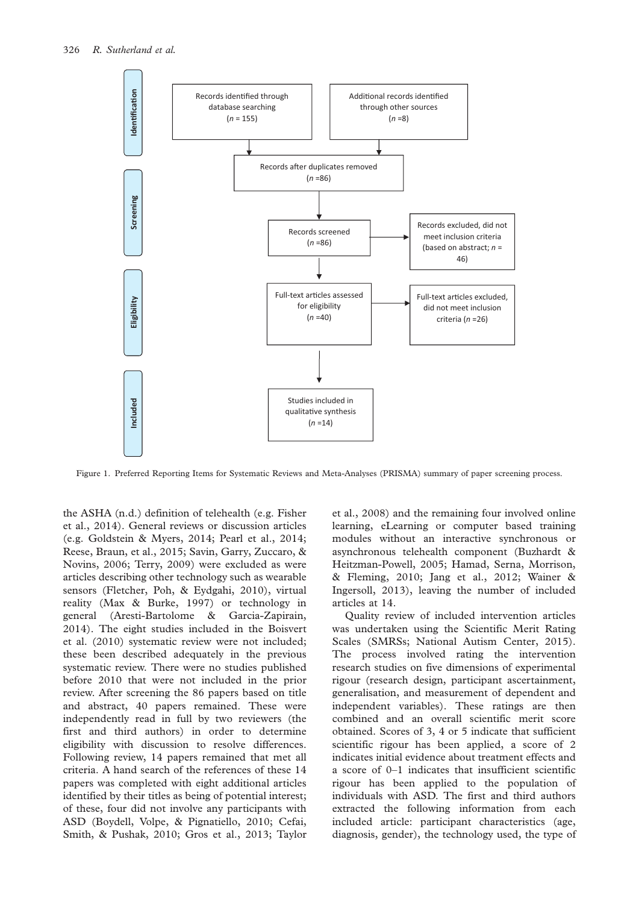

Figure 1. Preferred Reporting Items for Systematic Reviews and Meta-Analyses (PRISMA) summary of paper screening process.

the ASHA (n.d.) definition of telehealth (e.g. Fisher et al., 2014). General reviews or discussion articles (e.g. Goldstein & Myers, 2014; Pearl et al., 2014; Reese, Braun, et al., 2015; Savin, Garry, Zuccaro, & Novins, 2006; Terry, 2009) were excluded as were articles describing other technology such as wearable sensors (Fletcher, Poh, & Eydgahi, 2010), virtual reality (Max & Burke, 1997) or technology in general (Aresti-Bartolome & Garcia-Zapirain, 2014). The eight studies included in the Boisvert et al. (2010) systematic review were not included; these been described adequately in the previous systematic review. There were no studies published before 2010 that were not included in the prior review. After screening the 86 papers based on title and abstract, 40 papers remained. These were independently read in full by two reviewers (the first and third authors) in order to determine eligibility with discussion to resolve differences. Following review, 14 papers remained that met all criteria. A hand search of the references of these 14 papers was completed with eight additional articles identified by their titles as being of potential interest; of these, four did not involve any participants with ASD (Boydell, Volpe, & Pignatiello, 2010; Cefai, Smith, & Pushak, 2010; Gros et al., 2013; Taylor

et al., 2008) and the remaining four involved online learning, eLearning or computer based training modules without an interactive synchronous or asynchronous telehealth component (Buzhardt & Heitzman-Powell, 2005; Hamad, Serna, Morrison, & Fleming, 2010; Jang et al., 2012; Wainer & Ingersoll, 2013), leaving the number of included articles at 14.

Quality review of included intervention articles was undertaken using the Scientific Merit Rating Scales (SMRSs; National Autism Center, 2015). The process involved rating the intervention research studies on five dimensions of experimental rigour (research design, participant ascertainment, generalisation, and measurement of dependent and independent variables). These ratings are then combined and an overall scientific merit score obtained. Scores of 3, 4 or 5 indicate that sufficient scientific rigour has been applied, a score of 2 indicates initial evidence about treatment effects and a score of 0–1 indicates that insufficient scientific rigour has been applied to the population of individuals with ASD. The first and third authors extracted the following information from each included article: participant characteristics (age, diagnosis, gender), the technology used, the type of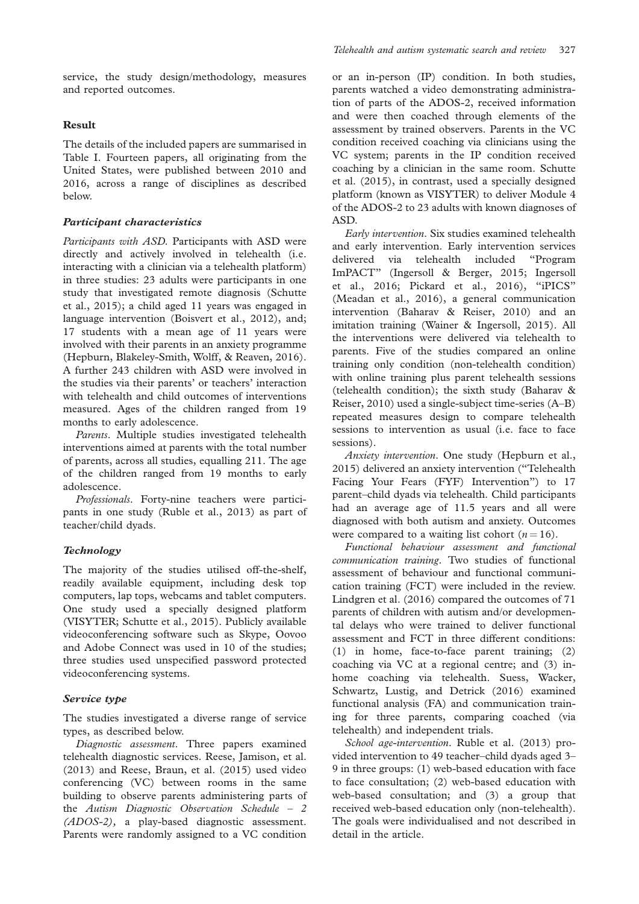service, the study design/methodology, measures and reported outcomes.

#### Result

The details of the included papers are summarised in Table I. Fourteen papers, all originating from the United States, were published between 2010 and 2016, across a range of disciplines as described below.

#### Participant characteristics

Participants with ASD. Participants with ASD were directly and actively involved in telehealth (i.e. interacting with a clinician via a telehealth platform) in three studies: 23 adults were participants in one study that investigated remote diagnosis (Schutte et al., 2015); a child aged 11 years was engaged in language intervention (Boisvert et al., 2012), and; 17 students with a mean age of 11 years were involved with their parents in an anxiety programme (Hepburn, Blakeley-Smith, Wolff, & Reaven, 2016). A further 243 children with ASD were involved in the studies via their parents' or teachers' interaction with telehealth and child outcomes of interventions measured. Ages of the children ranged from 19 months to early adolescence.

Parents. Multiple studies investigated telehealth interventions aimed at parents with the total number of parents, across all studies, equalling 211. The age of the children ranged from 19 months to early adolescence.

Professionals. Forty-nine teachers were participants in one study (Ruble et al., 2013) as part of teacher/child dyads.

#### **Technology**

The majority of the studies utilised off-the-shelf, readily available equipment, including desk top computers, lap tops, webcams and tablet computers. One study used a specially designed platform (VISYTER; Schutte et al., 2015). Publicly available videoconferencing software such as Skype, Oovoo and Adobe Connect was used in 10 of the studies; three studies used unspecified password protected videoconferencing systems.

#### Service type

The studies investigated a diverse range of service types, as described below.

Diagnostic assessment. Three papers examined telehealth diagnostic services. Reese, Jamison, et al. (2013) and Reese, Braun, et al. (2015) used video conferencing (VC) between rooms in the same building to observe parents administering parts of the Autism Diagnostic Observation Schedule – 2 (ADOS-2), a play-based diagnostic assessment. Parents were randomly assigned to a VC condition

or an in-person (IP) condition. In both studies, parents watched a video demonstrating administration of parts of the ADOS-2, received information and were then coached through elements of the assessment by trained observers. Parents in the VC condition received coaching via clinicians using the VC system; parents in the IP condition received coaching by a clinician in the same room. Schutte et al. (2015), in contrast, used a specially designed platform (known as VISYTER) to deliver Module 4 of the ADOS-2 to 23 adults with known diagnoses of ASD.

Early intervention. Six studies examined telehealth and early intervention. Early intervention services delivered via telehealth included ''Program ImPACT'' (Ingersoll & Berger, 2015; Ingersoll et al., 2016; Pickard et al., 2016), ''iPICS'' (Meadan et al., 2016), a general communication intervention (Baharav & Reiser, 2010) and an imitation training (Wainer & Ingersoll, 2015). All the interventions were delivered via telehealth to parents. Five of the studies compared an online training only condition (non-telehealth condition) with online training plus parent telehealth sessions (telehealth condition); the sixth study (Baharav & Reiser, 2010) used a single-subject time-series (A–B) repeated measures design to compare telehealth sessions to intervention as usual (i.e. face to face sessions).

Anxiety intervention. One study (Hepburn et al., 2015) delivered an anxiety intervention (''Telehealth Facing Your Fears (FYF) Intervention'') to 17 parent–child dyads via telehealth. Child participants had an average age of 11.5 years and all were diagnosed with both autism and anxiety. Outcomes were compared to a waiting list cohort  $(n = 16)$ .

Functional behaviour assessment and functional communication training. Two studies of functional assessment of behaviour and functional communication training (FCT) were included in the review. Lindgren et al. (2016) compared the outcomes of 71 parents of children with autism and/or developmental delays who were trained to deliver functional assessment and FCT in three different conditions: (1) in home, face-to-face parent training; (2) coaching via VC at a regional centre; and (3) inhome coaching via telehealth. Suess, Wacker, Schwartz, Lustig, and Detrick (2016) examined functional analysis (FA) and communication training for three parents, comparing coached (via telehealth) and independent trials.

School age-intervention. Ruble et al. (2013) provided intervention to 49 teacher–child dyads aged 3– 9 in three groups: (1) web-based education with face to face consultation; (2) web-based education with web-based consultation; and (3) a group that received web-based education only (non-telehealth). The goals were individualised and not described in detail in the article.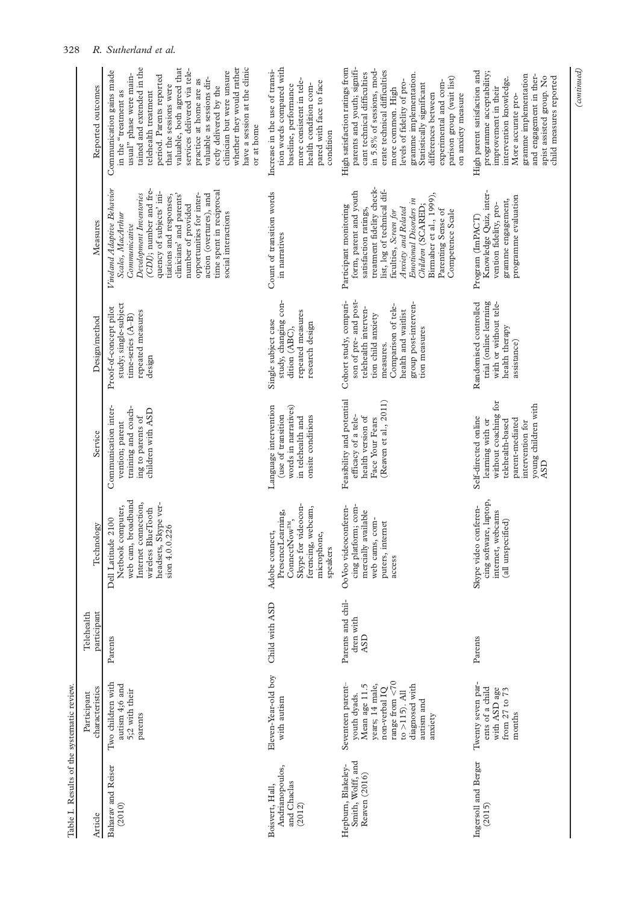| Table I. Results of the systematic review.                  |                                                                                                                                                                           |                                              |                                                                                                                                                          |                                                                                                                                                           |                                                                                                                                                                                                   |                                                                                                                                                                                                                                                                                                                                          |                                                                                                                                                                                                                                                                                                                                                                                                                                                 |
|-------------------------------------------------------------|---------------------------------------------------------------------------------------------------------------------------------------------------------------------------|----------------------------------------------|----------------------------------------------------------------------------------------------------------------------------------------------------------|-----------------------------------------------------------------------------------------------------------------------------------------------------------|---------------------------------------------------------------------------------------------------------------------------------------------------------------------------------------------------|------------------------------------------------------------------------------------------------------------------------------------------------------------------------------------------------------------------------------------------------------------------------------------------------------------------------------------------|-------------------------------------------------------------------------------------------------------------------------------------------------------------------------------------------------------------------------------------------------------------------------------------------------------------------------------------------------------------------------------------------------------------------------------------------------|
| Article                                                     | characteristics<br>Participant                                                                                                                                            | participant<br>Telehealth                    | Technology                                                                                                                                               | Service                                                                                                                                                   | Design/method                                                                                                                                                                                     | Measures                                                                                                                                                                                                                                                                                                                                 | Reported outcomes                                                                                                                                                                                                                                                                                                                                                                                                                               |
| Baharav and Reiser<br>(2010)                                | Two children with<br>autism 4;6 and<br>5;2 with their<br>parents                                                                                                          | Parents                                      | web cam, broadband<br>Internet connection,<br>headsets, Skype ver-<br>computer,<br>wireless BlueTooth<br>Dell Latitude 2100<br>sion 4.0.0.226<br>Netbook | Communication inter-<br>training and coach-<br>children with ASD<br>ing to parents of<br>vention; parent                                                  | study; single-subject<br>Proof-of-concept pilot<br>repeated measures<br>time-series $(A-B)$<br>design                                                                                             | (CDI); number and fre-<br>Vineland Adaptive Behavior<br>time spent in reciprocal<br>quency of subjects' ini-<br>clinicians' and parents'<br>opportunities for inter-<br>action (overtures), and<br>Development Inventories<br>tiations and responses,<br>number of provided<br>social interactions<br>Scales, MacArthur<br>Communicative | tained and extended in the<br>whether they would rather<br>have a session at the clinic<br>valuable, both agreed that<br>services delivered via tele-<br>Communication gains made<br>clinician but were unsure<br>usual" phase were main-<br>period. Parents reported<br>valuable as sessions dir-<br>practice at home are as<br>that the sessions were<br>ectly delivered by the<br>in the "treatment as<br>telehealth treatment<br>or at home |
| Andrianopoulos,<br>and Chaclas<br>Boisvert, Hall,<br>(2012) | Eleven-Year-old boy<br>with autism                                                                                                                                        | Child with ASD                               | Skype for videocon-<br>ferencing, webcam,<br>PresenceLearning,<br>ConnectNow <sup>TM</sup> ,<br>Adobe connect,<br>microphone,<br>speakers                | Language intervention<br>words in narratives)<br>(use of transition<br>onsite conditions<br>in telehealth and                                             | study, changing con-<br>dition (ABC),<br>repeated measures<br>Single subject case<br>research design                                                                                              | Count of transition words<br>in narratives                                                                                                                                                                                                                                                                                               | tion words compared with<br>Increase in the use of transi-<br>more consistent in tele-<br>pared with face to face<br>baseline, performance<br>health condition com-<br>condition                                                                                                                                                                                                                                                                |
| Smith, Wolff, and<br>Hepburn, Blakeley-<br>Reaven (2016)    | range from $<$ 70<br>Seventeen parent-<br>years; 14 male,<br>diagnosed with<br>Mean age 11.5<br>non-verbal IQ<br>$to$ >115). All<br>youth dyads.<br>autism and<br>anxiety | Parents and chil-<br>dren with<br><b>ASD</b> | cing platform; com-<br>OoVoo videoconferen-<br>mercially available<br>web cams, com-<br>puters, internet<br>access                                       | Feasibility and potential<br>(Reaven et al., 2011)<br>efficacy of a tele-<br>health version of<br>Face Your Fears                                         | son of pre- and post-<br>Cohort study, compari-<br>group post-interven-<br>Comparison of tele-<br>telehealth interven-<br>health and waitlist<br>tion child anxiety<br>tion measures<br>measures. | treatment fidelity check-<br>list, log of technical dif-<br>form, parent and youth<br>Birmaher et al., 1999),<br>Emotional Disorders in<br>Children (SCARED;<br>Participant monitoring<br>satisfaction ratings,<br>Anxiety and Related<br>Parenting Sense of<br>Competence Scale<br>ficulties, Screen for                                | High satisfaction ratings from<br>parents and youth; signifi-<br>in 5.8% of sessions, mod-<br>erate technical difficulties<br>cant technical difficulties<br>gramme implementation.<br>parison group (wait list)<br>levels of fidelity of pro-<br>experimental and com-<br>Statistically significant<br>more common. High<br>differences between<br>on anxiety measure                                                                          |
| Ingersoll and Berger<br>(2015)                              | Twenty seven par-<br>ents of a child<br>with ASD age<br>from 27 to $73$<br>months                                                                                         | Parents                                      | cing software, laptop,<br>Skype video conferen-<br>internet, webcams<br>(all unspecified)                                                                | without coaching for<br>young children with<br>Self-directed online<br>learning with or<br>parent-mediated<br>telehealth-based<br>intervention for<br>ASD | trial (online learning<br>Randomised controlled<br>with or without tele-<br>health therapy<br>assistance)                                                                                         | Knowledge Quiz, inter-<br>programme evaluation<br>gramme engagement,<br>vention fidelity, pro-<br>Program (ImPACT)                                                                                                                                                                                                                       | High parent satisfaction and<br>programme acceptability;<br>gramme implementation<br>and engagement in ther-<br>apist assisted group. No<br>child measures reported<br>intervention knowledge.<br>improvement in their<br>More accurate pro-                                                                                                                                                                                                    |
|                                                             |                                                                                                                                                                           |                                              |                                                                                                                                                          |                                                                                                                                                           |                                                                                                                                                                                                   |                                                                                                                                                                                                                                                                                                                                          | (continued)                                                                                                                                                                                                                                                                                                                                                                                                                                     |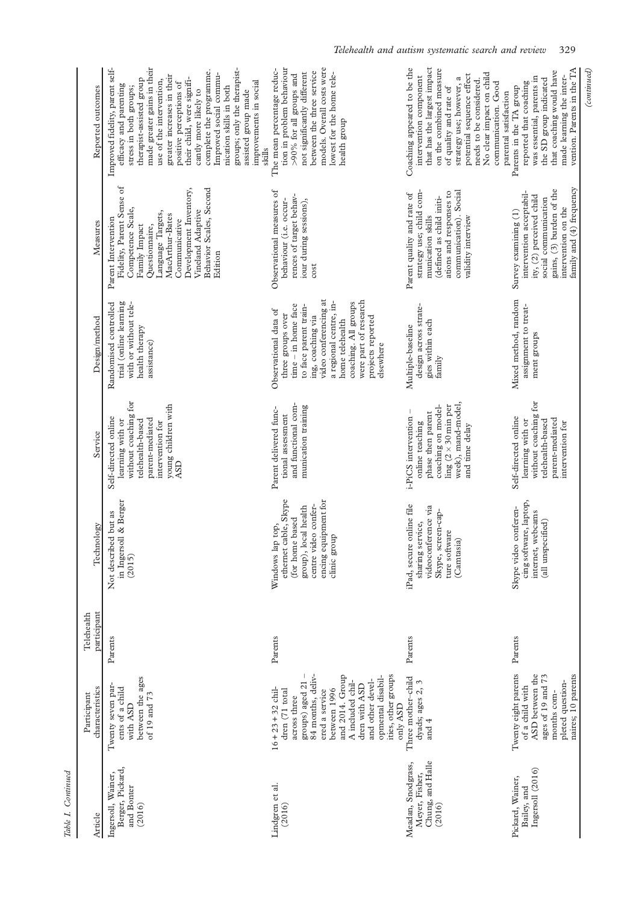| Parents<br>Parents<br>84 months, deliv-<br>and 2014. Group<br>between the ages<br>A included chil-<br>groups) aged 21<br>Twenty seven par-<br>ents of a child<br>$16 + 23 + 32$ chil-<br>between 1996<br>ered a service<br>dren (71 total<br>of 19 and 73<br>across three<br>with ASD<br>Berger, Pickard,<br>Ingersoll, Wainer,<br>Lindgren et al.<br>and Bonter<br>(2016)<br>(2016) | in Ingersoll & Berger<br>Not described but as<br>(2015)                                                                                                 | Self-directed online                                                                                                                                     | Randomised controlled                                                                                                                                                                                                                                                      |                                                                                                                                                                                                                                                        |                                                                                                                                                                                                                                                                                                                                                                                                                                                                      |
|--------------------------------------------------------------------------------------------------------------------------------------------------------------------------------------------------------------------------------------------------------------------------------------------------------------------------------------------------------------------------------------|---------------------------------------------------------------------------------------------------------------------------------------------------------|----------------------------------------------------------------------------------------------------------------------------------------------------------|----------------------------------------------------------------------------------------------------------------------------------------------------------------------------------------------------------------------------------------------------------------------------|--------------------------------------------------------------------------------------------------------------------------------------------------------------------------------------------------------------------------------------------------------|----------------------------------------------------------------------------------------------------------------------------------------------------------------------------------------------------------------------------------------------------------------------------------------------------------------------------------------------------------------------------------------------------------------------------------------------------------------------|
|                                                                                                                                                                                                                                                                                                                                                                                      |                                                                                                                                                         | without coaching for<br>young children with<br>parent-mediated<br>telehealth-based<br>learning with or<br>intervention for<br>ASD                        | trial (online learning<br>with or without tele-<br>health therapy<br>assistance)                                                                                                                                                                                           | Fidelity, Parent Sense of<br>Behavior Scales, Second<br>Development Inventory,<br>Competence Scale,<br>Vineland Adaptive<br>Language Targets,<br>MacArthur-Bates<br>Parent Intervention<br>Communicative<br>Family Impact<br>Questionnaire,<br>Edition | made greater gains in their<br>Improved fidelity, parent self-<br>groups; only the therapist-<br>complete the programme.<br>Improved social commu-<br>greater increases in their<br>therapist-assisted group<br>their child, were signifi-<br>use of the intervention,<br>positive perceptions of<br>improvements in social<br>efficacy and parenting<br>nication skills in both<br>stress in both groups;<br>cantly more likely to<br>assisted group made<br>skills |
| ities, other groups<br>opmental disabil-<br>and other devel-<br>dren with ASD<br>only ASD                                                                                                                                                                                                                                                                                            | encing equipment for<br>ethernet cable, Skype<br>centre video confer-<br>local health<br>(for home based<br>Windows lap top,<br>clinic group<br>group), | and functional com-<br>munication training<br>Parent delivered func-<br>tional assessment                                                                | video conferencing at<br>were part of research<br>a regional centre, in-<br>coaching. All groups<br>$time - in home face$<br>to face parent train-<br>Observational data of<br>three groups over<br>ing, coaching via<br>projects reported<br>home telehealth<br>elsewhere | Observational measures of<br>rences of target behav-<br>behaviour (i.e. occur-<br>iour during sessions),<br>cost                                                                                                                                       | tion in problem behaviour<br>models. Overall costs were<br>The mean percentage reduc-<br>between the three service<br>not significantly different<br>lowest for the home tele-<br>$>90\%$ for all groups and<br>health group                                                                                                                                                                                                                                         |
| Parents<br>Three mother-child<br>dyads; ages 2, 3<br>and $4$<br>Chung, and Halle<br>Meadan, Snodgrass,<br>Meyer, Fisher,                                                                                                                                                                                                                                                             | iPad, secure online file<br>videoconference via<br>Skype, screen-cap-<br>sharing service,<br>ture software<br>(Camtasia)                                | week), mand-model,<br>ling $(2 \times 30$ min per<br>coaching on model-<br>phase then parent<br>i-PiCS intervention<br>online teaching<br>and time delay | design across strate-<br>gies within each<br>Multiple-baseline<br>family                                                                                                                                                                                                   | strategy use; child com-<br>communication). Social<br>ations and responses to<br>Parent quality and rate of<br>(defined as child initi-<br>munication skills<br>validity interview                                                                     | that has the largest impact<br>Coaching appeared to be the<br>on the combined measure<br>No clear impact on child<br>potential sequence effect<br>intervention component<br>strategy use; however, a<br>needs to be considered<br>communication. Good<br>of quality and rate of<br>parental satisfaction                                                                                                                                                             |
| Parents<br>Twenty eight parents<br>ASD between the<br>naires; 10 parents<br>ages of 19 and 73<br>pleted question-<br>of a child with<br>months com-<br>Ingersoll (2016)<br>Pickard, Wainer,<br>Bailey, and                                                                                                                                                                           | cing software, laptop,<br>Skype video conferen-<br>internet, webcams<br>(all unspecified)                                                               | without coaching for<br>Self-directed online<br>parent-mediated<br>learning with or<br>telehealth-based<br>intervention for                              | Mixed method, random<br>assignment to treat-<br>ment groups                                                                                                                                                                                                                | family and (4) frequency<br>gains, (3) burden of the<br>intervention acceptabil-<br>ity, (2) perceived child<br>social communication<br>intervention on the<br>Survey examining (1)                                                                    | vention. Parents in the TA<br>that coaching would have<br>made learning the inter-<br>was essential, parents in<br>the SD group indicated<br>reported that coaching<br>Parents in the TA group                                                                                                                                                                                                                                                                       |

Table I. Continued

Table I. Continued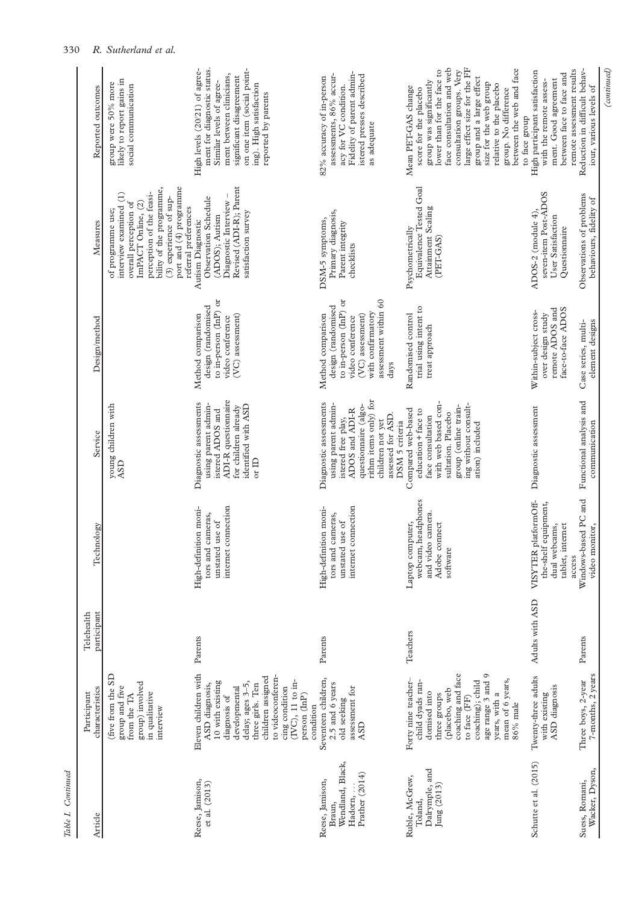| Table I. Continued                                                         |                                                                                                                                                                                                                                                     |                           |                                                                                             |                                                                                                                                                                                                   |                                                                                                                                                               |                                                                                                                                                                                                                                |                                                                                                                                                                                                                                                                                                                                      |
|----------------------------------------------------------------------------|-----------------------------------------------------------------------------------------------------------------------------------------------------------------------------------------------------------------------------------------------------|---------------------------|---------------------------------------------------------------------------------------------|---------------------------------------------------------------------------------------------------------------------------------------------------------------------------------------------------|---------------------------------------------------------------------------------------------------------------------------------------------------------------|--------------------------------------------------------------------------------------------------------------------------------------------------------------------------------------------------------------------------------|--------------------------------------------------------------------------------------------------------------------------------------------------------------------------------------------------------------------------------------------------------------------------------------------------------------------------------------|
| Article                                                                    | characteristics<br>Participant                                                                                                                                                                                                                      | participant<br>Telehealth | Technology                                                                                  | Service                                                                                                                                                                                           | Design/method                                                                                                                                                 | Measures                                                                                                                                                                                                                       | Reported outcomes                                                                                                                                                                                                                                                                                                                    |
|                                                                            | (five from the SD<br>group) involved<br>group and five<br>in qualitative<br>from the TA<br>interview                                                                                                                                                |                           |                                                                                             | young children with<br>ASD                                                                                                                                                                        |                                                                                                                                                               | port and (4) programme<br>bility of the programme,<br>perception of the feasi-<br>interview examined (1)<br>(3) experience of sup-<br>ImPACT Online, (2)<br>overall perception of<br>referral preferences<br>of programme use; | likely to report gains in<br>group were 50% more<br>social communication                                                                                                                                                                                                                                                             |
| Reese, Jamison,<br>et al. (2013)                                           | Eleven children with<br>to videoconferen-<br>children assigned<br>$(IVC)$ , 11 to in-<br>10 with existing<br>delay; ages 3-5,<br>ASD diagnosis,<br>three girls. Ten<br>developmental<br>cing condition<br>person (InP)<br>diagnosis of<br>condition | Parents                   | internet connection<br>High-definition moni-<br>tors and cameras,<br>use of<br>unstated     | istered ADOS and<br>ADI-R questionnaire<br>Diagnostic assessments<br>using parent admin-<br>identified with ASD<br>for children already<br>or $ID$                                                | to in-person (InP) or<br>design (randomised<br>Method comparison<br>$(VC)$ assessment)<br>video conference                                                    | Revised (ADI-R); Parent<br>Diagnostic Interview -<br>Observation Schedule<br>satisfaction survey<br>(ADOS); Autism<br>Autism Diagnostic                                                                                        | on one item (social point-<br>ment for diagnostic status.<br>High levels (20/21) of agree-<br>ment between clinicians,<br>significant disagreement<br>Similar levels of agree-<br>ing). High satisfaction<br>reported by parents                                                                                                     |
| Wendland, Black,<br>Prather (2014)<br>Reese, Jamison,<br>Hadorn,<br>Braun, | Seventeen children,<br>2.5 and 6 years<br>assessment for<br>old seeking<br><b>ASD</b>                                                                                                                                                               | Parents                   | internet connection<br>High-definition moni-<br>tors and cameras,<br>use of<br>unstated     | rithm items only) for<br>Diagnostic assessments<br>using parent admin-<br>questionnaire (algo-<br>istered free play,<br>ADOS and ADI-R<br>assessed for ASD.<br>children not yet<br>DSM 5 criteria | to in-person (InP) or<br>assessment within 60<br>design (randomised<br>with confirmatory<br>Method comparison<br>(VC) assessment)<br>video conference<br>days | Primary diagnosis,<br>DSM-5 symptoms,<br>Parent integrity<br>checklists                                                                                                                                                        | Fidelity of parent admin-<br>istered presses described<br>assessments, 86% accur-<br>82% accuracy of in-person<br>acy for VC condition.<br>as adequate                                                                                                                                                                               |
| Dalrymple, and<br>Ruble, McGrew,<br>Jung (2013)<br>Toland,                 | coaching and face<br>age range 3 and 9<br>Forty nine teacher-<br>mean of 6 years,<br>child dyads ran-<br>coaching); child<br>(placebo, web<br>domised into<br>years, with a<br>three groups<br>to face (FF)<br>86% male                             | Teachers                  | webcam, headphones<br>camera.<br>Adobe connect<br>Laptop computer,<br>and video<br>software | with web based con-<br>ing without consult-<br>group (online train-<br>Compared web-based<br>education + face to<br>sultation. Placebo<br>face consultation<br>ation) included                    | trial using intent to<br>Randomised control<br>treat approach                                                                                                 | Equivalence Tested Goal<br>Attainment Scaling<br>Psychometrically<br>(PET-GAS)                                                                                                                                                 | large effect size for the FF<br>face consultation and web<br>between the web and face<br>consultation groups. Very<br>lower than for the face to<br>group and a large effect<br>group was significantly<br>size for the web group<br>relative to the placebo<br>Mean PET-GAS change<br>score for the placebo<br>group. No difference |
| Schutte et al. (2015)                                                      | Twenty-three adults<br>ASD diagnosis<br>with existing                                                                                                                                                                                               | Adults with ASD           | VISYTER platformOff-<br>equipment,<br>tablet, internet<br>dual webcams,<br>$the$ -shelf     | Diagnostic assessment                                                                                                                                                                             | face-to-face ADOS<br>remote ADOS and<br>Within-subject cross-<br>over design study                                                                            | seven-item Post-ADOS<br>ADOS-2 (module 4),<br>User Satisfaction<br>Questionnaire                                                                                                                                               | High participant satisfaction<br>between face to face and<br>ment. Good agreement<br>with the remote assess-<br>to face group                                                                                                                                                                                                        |
| Wacker, Dyson,<br>Suess, Romani,                                           | 7-months, 2 years<br>Three boys, 2-year                                                                                                                                                                                                             | Parents                   | Windows-based PC and<br>video monitor,<br>access                                            | Functional analysis and<br>communication                                                                                                                                                          | element designs<br>Case series, multi-                                                                                                                        | Observations of problems<br>behaviours, fidelity of                                                                                                                                                                            | Reduction in difficult behav-<br>remote assessment results<br>iour, various levels of                                                                                                                                                                                                                                                |
|                                                                            |                                                                                                                                                                                                                                                     |                           |                                                                                             |                                                                                                                                                                                                   |                                                                                                                                                               |                                                                                                                                                                                                                                | (continued)                                                                                                                                                                                                                                                                                                                          |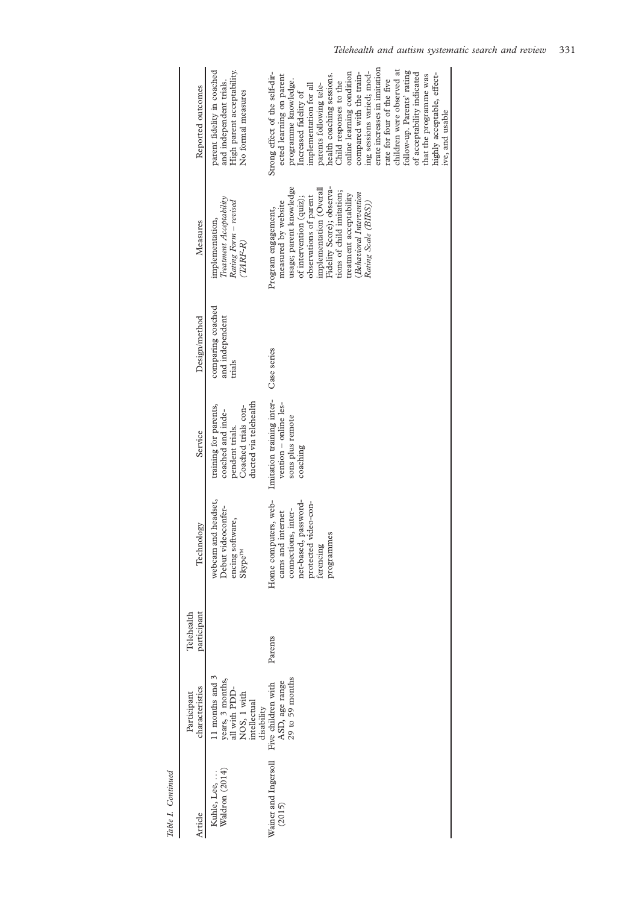| Table I. Continued             |                                                                                                   |                           |                                                                                                                                                |                                                                                                               |                                                |                                                                                                                                                                                                                                                                                               |                                                                                                                                                                                                                                                                                                                                                                                                                                                                                                                                             |
|--------------------------------|---------------------------------------------------------------------------------------------------|---------------------------|------------------------------------------------------------------------------------------------------------------------------------------------|---------------------------------------------------------------------------------------------------------------|------------------------------------------------|-----------------------------------------------------------------------------------------------------------------------------------------------------------------------------------------------------------------------------------------------------------------------------------------------|---------------------------------------------------------------------------------------------------------------------------------------------------------------------------------------------------------------------------------------------------------------------------------------------------------------------------------------------------------------------------------------------------------------------------------------------------------------------------------------------------------------------------------------------|
| Article                        | characteristics<br>Participant                                                                    | participant<br>Telehealth | Technology                                                                                                                                     | Service                                                                                                       | Design/method                                  | Measures                                                                                                                                                                                                                                                                                      | Reported outcomes                                                                                                                                                                                                                                                                                                                                                                                                                                                                                                                           |
| Waldron (2014)<br>Kuhle, Lee,  | 11 months and 3<br>years, 3 months,<br>all with PDD.<br>NOS, 1 with<br>intellectual<br>disability |                           | webcam and headset,<br>Debut videoconfer-<br>encing software,<br>Skype <sup>TM</sup>                                                           | ducted via telehealth<br>training for parents,<br>Coached trials con-<br>coached and inde-<br>pendent trials. | comparing coached<br>and independent<br>trials | Treatment Acceptability<br>Rating Form - revised<br>implementation,<br>$(TARF-R)$                                                                                                                                                                                                             | High parent acceptability.<br>parent fidelity in coached<br>and independent trials.<br>No formal measures                                                                                                                                                                                                                                                                                                                                                                                                                                   |
| Wainer and Ingersoll<br>(2015) | $29$ to 59 months<br>ASD, age range<br>Five children with                                         | Parents                   | Home computers, web-<br>net-based, password-<br>video-con-<br>connections, inter-<br>cams and internet<br>programmes<br>protected<br>ferencing | Imitation training inter-<br>vention - online les-<br>sons plus remote<br>coaching                            | Case series                                    | usage; parent knowledge<br>Fidelity Score); observa-<br>implementation (Overall<br>tions of child imitation;<br>Behavioral Intervention<br>treatment acceptability<br>observations of parent<br>of intervention (quiz);<br>Rating Scale (BIRS))<br>measured by website<br>Program engagement, | erate increases in imitation<br>children were observed at<br>follow-up. Parents' rating<br>ng sessions varied; mod-<br>Strong effect of the self-dir-<br>online learning condition<br>of acceptability indicated<br>compared with the train-<br>highly acceptable, effect-<br>realth coaching sessions.<br>that the programme was<br>ected learning on parent<br>programme knowledge.<br>rate for four of the five<br>Child responses to the<br>parents following tele-<br>mplementation for all<br>Increased fidelity of<br>ve, and usable |

Telehealth and autism systematic search and review 331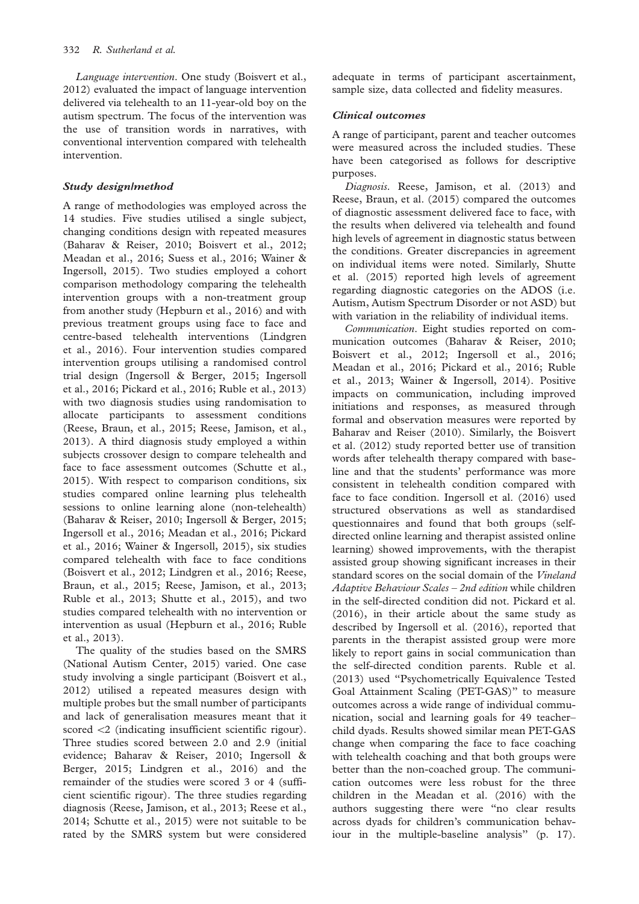Language intervention. One study (Boisvert et al., 2012) evaluated the impact of language intervention delivered via telehealth to an 11-year-old boy on the autism spectrum. The focus of the intervention was the use of transition words in narratives, with conventional intervention compared with telehealth intervention.

# Study design/method

A range of methodologies was employed across the 14 studies. Five studies utilised a single subject, changing conditions design with repeated measures (Baharav & Reiser, 2010; Boisvert et al., 2012; Meadan et al., 2016; Suess et al., 2016; Wainer & Ingersoll, 2015). Two studies employed a cohort comparison methodology comparing the telehealth intervention groups with a non-treatment group from another study (Hepburn et al., 2016) and with previous treatment groups using face to face and centre-based telehealth interventions (Lindgren et al., 2016). Four intervention studies compared intervention groups utilising a randomised control trial design (Ingersoll & Berger, 2015; Ingersoll et al., 2016; Pickard et al., 2016; Ruble et al., 2013) with two diagnosis studies using randomisation to allocate participants to assessment conditions (Reese, Braun, et al., 2015; Reese, Jamison, et al., 2013). A third diagnosis study employed a within subjects crossover design to compare telehealth and face to face assessment outcomes (Schutte et al., 2015). With respect to comparison conditions, six studies compared online learning plus telehealth sessions to online learning alone (non-telehealth) (Baharav & Reiser, 2010; Ingersoll & Berger, 2015; Ingersoll et al., 2016; Meadan et al., 2016; Pickard et al., 2016; Wainer & Ingersoll, 2015), six studies compared telehealth with face to face conditions (Boisvert et al., 2012; Lindgren et al., 2016; Reese, Braun, et al., 2015; Reese, Jamison, et al., 2013; Ruble et al., 2013; Shutte et al., 2015), and two studies compared telehealth with no intervention or intervention as usual (Hepburn et al., 2016; Ruble et al., 2013).

The quality of the studies based on the SMRS (National Autism Center, 2015) varied. One case study involving a single participant (Boisvert et al., 2012) utilised a repeated measures design with multiple probes but the small number of participants and lack of generalisation measures meant that it scored <2 (indicating insufficient scientific rigour). Three studies scored between 2.0 and 2.9 (initial evidence; Baharav & Reiser, 2010; Ingersoll & Berger, 2015; Lindgren et al., 2016) and the remainder of the studies were scored 3 or 4 (sufficient scientific rigour). The three studies regarding diagnosis (Reese, Jamison, et al., 2013; Reese et al., 2014; Schutte et al., 2015) were not suitable to be rated by the SMRS system but were considered

adequate in terms of participant ascertainment, sample size, data collected and fidelity measures.

### Clinical outcomes

A range of participant, parent and teacher outcomes were measured across the included studies. These have been categorised as follows for descriptive purposes.

Diagnosis. Reese, Jamison, et al. (2013) and Reese, Braun, et al. (2015) compared the outcomes of diagnostic assessment delivered face to face, with the results when delivered via telehealth and found high levels of agreement in diagnostic status between the conditions. Greater discrepancies in agreement on individual items were noted. Similarly, Shutte et al. (2015) reported high levels of agreement regarding diagnostic categories on the ADOS (i.e. Autism, Autism Spectrum Disorder or not ASD) but with variation in the reliability of individual items.

Communication. Eight studies reported on communication outcomes (Baharav & Reiser, 2010; Boisvert et al., 2012; Ingersoll et al., 2016; Meadan et al., 2016; Pickard et al., 2016; Ruble et al., 2013; Wainer & Ingersoll, 2014). Positive impacts on communication, including improved initiations and responses, as measured through formal and observation measures were reported by Baharav and Reiser (2010). Similarly, the Boisvert et al. (2012) study reported better use of transition words after telehealth therapy compared with baseline and that the students' performance was more consistent in telehealth condition compared with face to face condition. Ingersoll et al. (2016) used structured observations as well as standardised questionnaires and found that both groups (selfdirected online learning and therapist assisted online learning) showed improvements, with the therapist assisted group showing significant increases in their standard scores on the social domain of the Vineland Adaptive Behaviour Scales – 2nd edition while children in the self-directed condition did not. Pickard et al. (2016), in their article about the same study as described by Ingersoll et al. (2016), reported that parents in the therapist assisted group were more likely to report gains in social communication than the self-directed condition parents. Ruble et al. (2013) used ''Psychometrically Equivalence Tested Goal Attainment Scaling (PET-GAS)'' to measure outcomes across a wide range of individual communication, social and learning goals for 49 teacher– child dyads. Results showed similar mean PET-GAS change when comparing the face to face coaching with telehealth coaching and that both groups were better than the non-coached group. The communication outcomes were less robust for the three children in the Meadan et al. (2016) with the authors suggesting there were ''no clear results across dyads for children's communication behaviour in the multiple-baseline analysis'' (p. 17).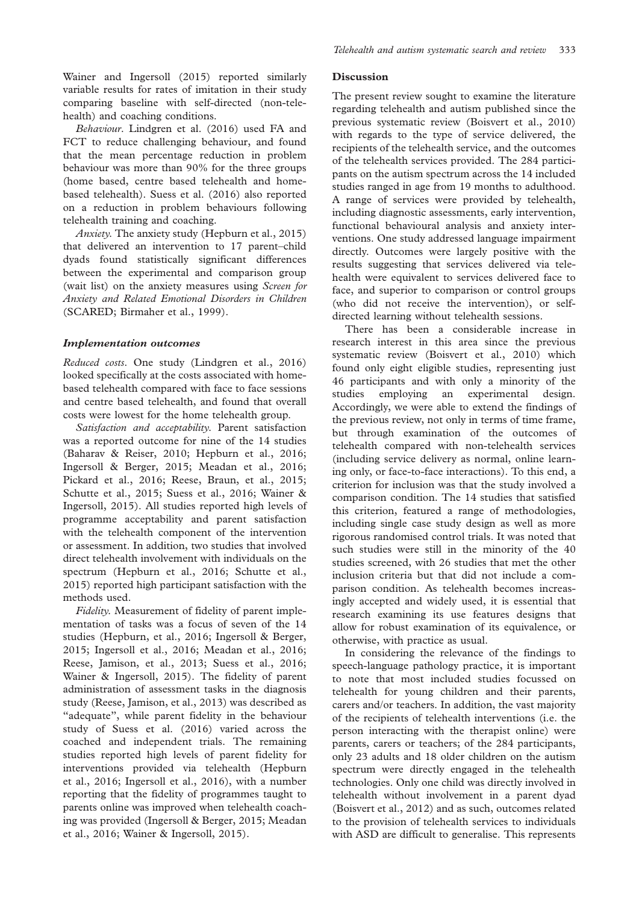Wainer and Ingersoll (2015) reported similarly variable results for rates of imitation in their study comparing baseline with self-directed (non-telehealth) and coaching conditions.

Behaviour. Lindgren et al. (2016) used FA and FCT to reduce challenging behaviour, and found that the mean percentage reduction in problem behaviour was more than 90% for the three groups (home based, centre based telehealth and homebased telehealth). Suess et al. (2016) also reported on a reduction in problem behaviours following telehealth training and coaching.

Anxiety. The anxiety study (Hepburn et al., 2015) that delivered an intervention to 17 parent–child dyads found statistically significant differences between the experimental and comparison group (wait list) on the anxiety measures using Screen for Anxiety and Related Emotional Disorders in Children (SCARED; Birmaher et al., 1999).

#### Implementation outcomes

Reduced costs. One study (Lindgren et al., 2016) looked specifically at the costs associated with homebased telehealth compared with face to face sessions and centre based telehealth, and found that overall costs were lowest for the home telehealth group.

Satisfaction and acceptability. Parent satisfaction was a reported outcome for nine of the 14 studies (Baharav & Reiser, 2010; Hepburn et al., 2016; Ingersoll & Berger, 2015; Meadan et al., 2016; Pickard et al., 2016; Reese, Braun, et al., 2015; Schutte et al., 2015; Suess et al., 2016; Wainer & Ingersoll, 2015). All studies reported high levels of programme acceptability and parent satisfaction with the telehealth component of the intervention or assessment. In addition, two studies that involved direct telehealth involvement with individuals on the spectrum (Hepburn et al., 2016; Schutte et al., 2015) reported high participant satisfaction with the methods used.

Fidelity. Measurement of fidelity of parent implementation of tasks was a focus of seven of the 14 studies (Hepburn, et al., 2016; Ingersoll & Berger, 2015; Ingersoll et al., 2016; Meadan et al., 2016; Reese, Jamison, et al., 2013; Suess et al., 2016; Wainer & Ingersoll, 2015). The fidelity of parent administration of assessment tasks in the diagnosis study (Reese, Jamison, et al., 2013) was described as "adequate", while parent fidelity in the behaviour study of Suess et al. (2016) varied across the coached and independent trials. The remaining studies reported high levels of parent fidelity for interventions provided via telehealth (Hepburn et al., 2016; Ingersoll et al., 2016), with a number reporting that the fidelity of programmes taught to parents online was improved when telehealth coaching was provided (Ingersoll & Berger, 2015; Meadan et al., 2016; Wainer & Ingersoll, 2015).

#### **Discussion**

The present review sought to examine the literature regarding telehealth and autism published since the previous systematic review (Boisvert et al., 2010) with regards to the type of service delivered, the recipients of the telehealth service, and the outcomes of the telehealth services provided. The 284 participants on the autism spectrum across the 14 included studies ranged in age from 19 months to adulthood. A range of services were provided by telehealth, including diagnostic assessments, early intervention, functional behavioural analysis and anxiety interventions. One study addressed language impairment directly. Outcomes were largely positive with the results suggesting that services delivered via telehealth were equivalent to services delivered face to face, and superior to comparison or control groups (who did not receive the intervention), or selfdirected learning without telehealth sessions.

There has been a considerable increase in research interest in this area since the previous systematic review (Boisvert et al., 2010) which found only eight eligible studies, representing just 46 participants and with only a minority of the studies employing an experimental design. Accordingly, we were able to extend the findings of the previous review, not only in terms of time frame, but through examination of the outcomes of telehealth compared with non-telehealth services (including service delivery as normal, online learning only, or face-to-face interactions). To this end, a criterion for inclusion was that the study involved a comparison condition. The 14 studies that satisfied this criterion, featured a range of methodologies, including single case study design as well as more rigorous randomised control trials. It was noted that such studies were still in the minority of the 40 studies screened, with 26 studies that met the other inclusion criteria but that did not include a comparison condition. As telehealth becomes increasingly accepted and widely used, it is essential that research examining its use features designs that allow for robust examination of its equivalence, or otherwise, with practice as usual.

In considering the relevance of the findings to speech-language pathology practice, it is important to note that most included studies focussed on telehealth for young children and their parents, carers and/or teachers. In addition, the vast majority of the recipients of telehealth interventions (i.e. the person interacting with the therapist online) were parents, carers or teachers; of the 284 participants, only 23 adults and 18 older children on the autism spectrum were directly engaged in the telehealth technologies. Only one child was directly involved in telehealth without involvement in a parent dyad (Boisvert et al., 2012) and as such, outcomes related to the provision of telehealth services to individuals with ASD are difficult to generalise. This represents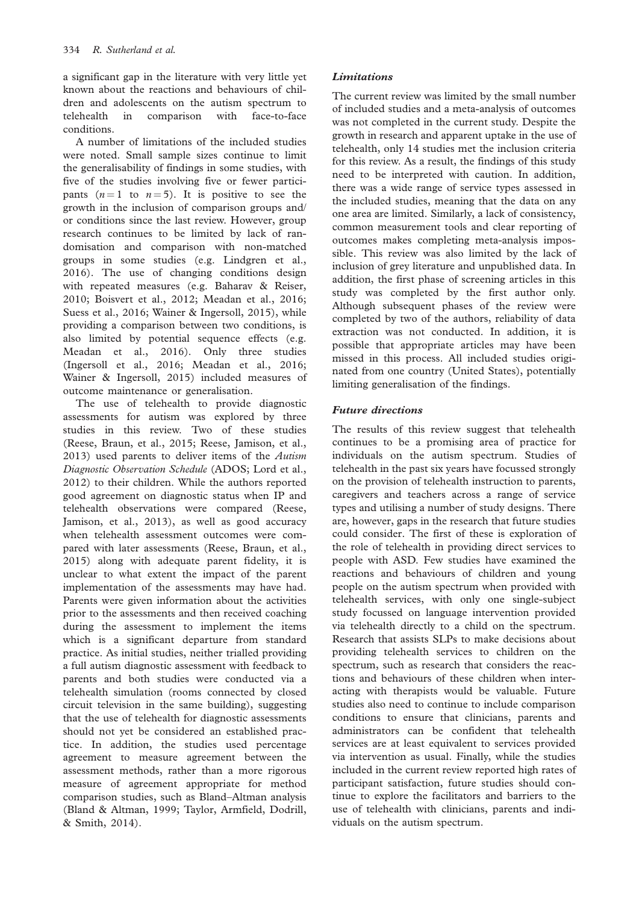a significant gap in the literature with very little yet known about the reactions and behaviours of children and adolescents on the autism spectrum to telehealth in comparison with face-to-face conditions.

A number of limitations of the included studies were noted. Small sample sizes continue to limit the generalisability of findings in some studies, with five of the studies involving five or fewer participants  $(n = 1$  to  $n = 5)$ . It is positive to see the growth in the inclusion of comparison groups and/ or conditions since the last review. However, group research continues to be limited by lack of randomisation and comparison with non-matched groups in some studies (e.g. Lindgren et al., 2016). The use of changing conditions design with repeated measures (e.g. Baharav & Reiser, 2010; Boisvert et al., 2012; Meadan et al., 2016; Suess et al., 2016; Wainer & Ingersoll, 2015), while providing a comparison between two conditions, is also limited by potential sequence effects (e.g. Meadan et al., 2016). Only three studies (Ingersoll et al., 2016; Meadan et al., 2016; Wainer & Ingersoll, 2015) included measures of outcome maintenance or generalisation.

The use of telehealth to provide diagnostic assessments for autism was explored by three studies in this review. Two of these studies (Reese, Braun, et al., 2015; Reese, Jamison, et al., 2013) used parents to deliver items of the Autism Diagnostic Observation Schedule (ADOS; Lord et al., 2012) to their children. While the authors reported good agreement on diagnostic status when IP and telehealth observations were compared (Reese, Jamison, et al., 2013), as well as good accuracy when telehealth assessment outcomes were compared with later assessments (Reese, Braun, et al., 2015) along with adequate parent fidelity, it is unclear to what extent the impact of the parent implementation of the assessments may have had. Parents were given information about the activities prior to the assessments and then received coaching during the assessment to implement the items which is a significant departure from standard practice. As initial studies, neither trialled providing a full autism diagnostic assessment with feedback to parents and both studies were conducted via a telehealth simulation (rooms connected by closed circuit television in the same building), suggesting that the use of telehealth for diagnostic assessments should not yet be considered an established practice. In addition, the studies used percentage agreement to measure agreement between the assessment methods, rather than a more rigorous measure of agreement appropriate for method comparison studies, such as Bland–Altman analysis (Bland & Altman, 1999; Taylor, Armfield, Dodrill, & Smith, 2014).

# Limitations

The current review was limited by the small number of included studies and a meta-analysis of outcomes was not completed in the current study. Despite the growth in research and apparent uptake in the use of telehealth, only 14 studies met the inclusion criteria for this review. As a result, the findings of this study need to be interpreted with caution. In addition, there was a wide range of service types assessed in the included studies, meaning that the data on any one area are limited. Similarly, a lack of consistency, common measurement tools and clear reporting of outcomes makes completing meta-analysis impossible. This review was also limited by the lack of inclusion of grey literature and unpublished data. In addition, the first phase of screening articles in this study was completed by the first author only. Although subsequent phases of the review were completed by two of the authors, reliability of data extraction was not conducted. In addition, it is possible that appropriate articles may have been missed in this process. All included studies originated from one country (United States), potentially limiting generalisation of the findings.

## Future directions

The results of this review suggest that telehealth continues to be a promising area of practice for individuals on the autism spectrum. Studies of telehealth in the past six years have focussed strongly on the provision of telehealth instruction to parents, caregivers and teachers across a range of service types and utilising a number of study designs. There are, however, gaps in the research that future studies could consider. The first of these is exploration of the role of telehealth in providing direct services to people with ASD. Few studies have examined the reactions and behaviours of children and young people on the autism spectrum when provided with telehealth services, with only one single-subject study focussed on language intervention provided via telehealth directly to a child on the spectrum. Research that assists SLPs to make decisions about providing telehealth services to children on the spectrum, such as research that considers the reactions and behaviours of these children when interacting with therapists would be valuable. Future studies also need to continue to include comparison conditions to ensure that clinicians, parents and administrators can be confident that telehealth services are at least equivalent to services provided via intervention as usual. Finally, while the studies included in the current review reported high rates of participant satisfaction, future studies should continue to explore the facilitators and barriers to the use of telehealth with clinicians, parents and individuals on the autism spectrum.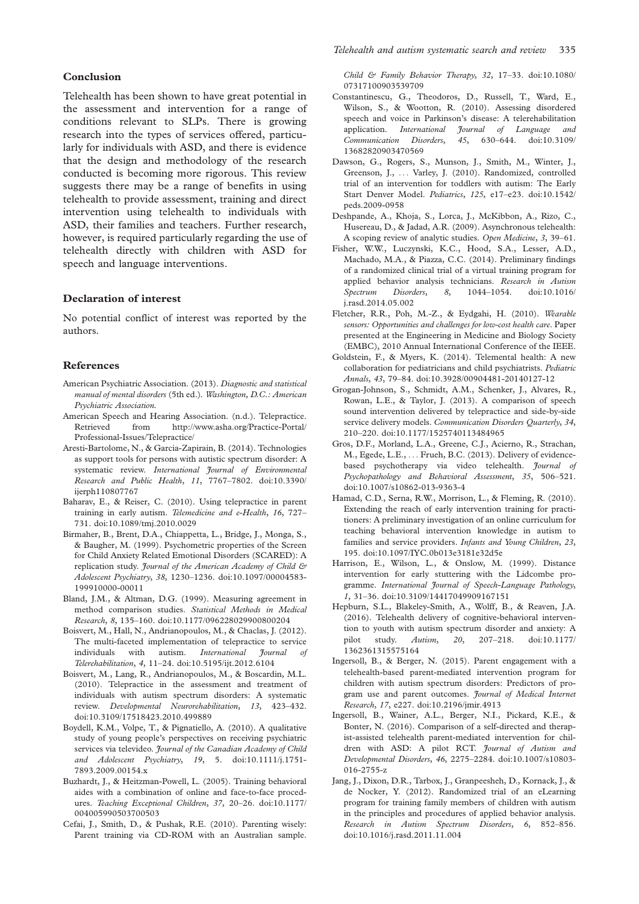Telehealth has been shown to have great potential in the assessment and intervention for a range of conditions relevant to SLPs. There is growing research into the types of services offered, particularly for individuals with ASD, and there is evidence that the design and methodology of the research conducted is becoming more rigorous. This review suggests there may be a range of benefits in using telehealth to provide assessment, training and direct intervention using telehealth to individuals with ASD, their families and teachers. Further research, however, is required particularly regarding the use of telehealth directly with children with ASD for speech and language interventions.

#### Declaration of interest

No potential conflict of interest was reported by the authors.

#### References

- American Psychiatric Association. (2013). Diagnostic and statistical manual of mental disorders (5th ed.). Washington, D.C.: American Psychiatric Association.
- American Speech and Hearing Association. (n.d.). Telepractice. Retrieved from http://www.asha.org/Practice-Portal/ Professional-Issues/Telepractice/
- Aresti-Bartolome, N., & Garcia-Zapirain, B. (2014). Technologies as support tools for persons with autistic spectrum disorder: A systematic review. International Journal of Environmental Research and Public Health, 11, 7767–7802. doi:10.3390/ ijerph110807767
- Baharav, E., & Reiser, C. (2010). Using telepractice in parent training in early autism. Telemedicine and e-Health, 16, 727– 731. doi:10.1089/tmj.2010.0029
- Birmaher, B., Brent, D.A., Chiappetta, L., Bridge, J., Monga, S., & Baugher, M. (1999). Psychometric properties of the Screen for Child Anxiety Related Emotional Disorders (SCARED): A replication study. Journal of the American Academy of Child & Adolescent Psychiatry, 38, 1230–1236. doi:10.1097/00004583- 199910000-00011
- Bland, J.M., & Altman, D.G. (1999). Measuring agreement in method comparison studies. Statistical Methods in Medical Research, 8, 135–160. doi:10.1177/096228029900800204
- Boisvert, M., Hall, N., Andrianopoulos, M., & Chaclas, J. (2012). The multi-faceted implementation of telepractice to service individuals with autism. International Journal of Telerehabilitation, 4, 11–24. doi:10.5195/ijt.2012.6104
- Boisvert, M., Lang, R., Andrianopoulos, M., & Boscardin, M.L. (2010). Telepractice in the assessment and treatment of individuals with autism spectrum disorders: A systematic review. Developmental Neurorehabilitation, 13, 423–432. doi:10.3109/17518423.2010.499889
- Boydell, K.M., Volpe, T., & Pignatiello, A. (2010). A qualitative study of young people's perspectives on receiving psychiatric services via televideo. Journal of the Canadian Academy of Child and Adolescent Psychiatry, 19, 5. doi:10.1111/j.1751- 7893.2009.00154.x
- Buzhardt, J., & Heitzman-Powell, L. (2005). Training behavioral aides with a combination of online and face-to-face procedures. Teaching Exceptional Children, 37, 20–26. doi:10.1177/ 004005990503700503
- Cefai, J., Smith, D., & Pushak, R.E. (2010). Parenting wisely: Parent training via CD-ROM with an Australian sample.

Child & Family Behavior Therapy, 32, 17–33. doi:10.1080/ 07317100903539709

- Constantinescu, G., Theodoros, D., Russell, T., Ward, E., Wilson, S., & Wootton, R. (2010). Assessing disordered speech and voice in Parkinson's disease: A telerehabilitation application. International Journal of Language and Communication Disorders, 45, 630–644. doi:10.3109/ 13682820903470569
- Dawson, G., Rogers, S., Munson, J., Smith, M., Winter, J., Greenson, J., ... Varley, J. (2010). Randomized, controlled trial of an intervention for toddlers with autism: The Early Start Denver Model. Pediatrics, 125, e17–e23. doi:10.1542/ peds.2009-0958
- Deshpande, A., Khoja, S., Lorca, J., McKibbon, A., Rizo, C., Husereau, D., & Jadad, A.R. (2009). Asynchronous telehealth: A scoping review of analytic studies. Open Medicine, 3, 39–61.
- Fisher, W.W., Luczynski, K.C., Hood, S.A., Lesser, A.D., Machado, M.A., & Piazza, C.C. (2014). Preliminary findings of a randomized clinical trial of a virtual training program for applied behavior analysis technicians. Research in Autism Spectrum Disorders, 8, 1044–1054. doi:10.1016/ j.rasd.2014.05.002
- Fletcher, R.R., Poh, M.-Z., & Eydgahi, H. (2010). Wearable sensors: Opportunities and challenges for low-cost health care. Paper presented at the Engineering in Medicine and Biology Society (EMBC), 2010 Annual International Conference of the IEEE.
- Goldstein, F., & Myers, K. (2014). Telemental health: A new collaboration for pediatricians and child psychiatrists. Pediatric Annals, 43, 79–84. doi:10.3928/00904481-20140127-12
- Grogan-Johnson, S., Schmidt, A.M., Schenker, J., Alvares, R., Rowan, L.E., & Taylor, J. (2013). A comparison of speech sound intervention delivered by telepractice and side-by-side service delivery models. Communication Disorders Ouarterly, 34, 210–220. doi:10.1177/1525740113484965
- Gros, D.F., Morland, L.A., Greene, C.J., Acierno, R., Strachan, M., Egede, L.E., ... Frueh, B.C. (2013). Delivery of evidencebased psychotherapy via video telehealth. Journal of Psychopathology and Behavioral Assessment, 35, 506–521. doi:10.1007/s10862-013-9363-4
- Hamad, C.D., Serna, R.W., Morrison, L., & Fleming, R. (2010). Extending the reach of early intervention training for practitioners: A preliminary investigation of an online curriculum for teaching behavioral intervention knowledge in autism to families and service providers. Infants and Young Children, 23, 195. doi:10.1097/IYC.0b013e3181e32d5e
- Harrison, E., Wilson, L., & Onslow, M. (1999). Distance intervention for early stuttering with the Lidcombe programme. International Journal of Speech-Language Pathology, 1, 31–36. doi:10.3109/14417049909167151
- Hepburn, S.L., Blakeley-Smith, A., Wolff, B., & Reaven, J.A. (2016). Telehealth delivery of cognitive-behavioral intervention to youth with autism spectrum disorder and anxiety: A pilot study. Autism, 20, 207–218. doi:10.1177/ 1362361315575164
- Ingersoll, B., & Berger, N. (2015). Parent engagement with a telehealth-based parent-mediated intervention program for children with autism spectrum disorders: Predictors of program use and parent outcomes. Journal of Medical Internet Research, 17, e227. doi:10.2196/jmir.4913
- Ingersoll, B., Wainer, A.L., Berger, N.I., Pickard, K.E., & Bonter, N. (2016). Comparison of a self-directed and therapist-assisted telehealth parent-mediated intervention for children with ASD: A pilot RCT. Journal of Autism and Developmental Disorders, 46, 2275–2284. doi:10.1007/s10803- 016-2755-z
- Jang, J., Dixon, D.R., Tarbox, J., Granpeesheh, D., Kornack, J., & de Nocker, Y. (2012). Randomized trial of an eLearning program for training family members of children with autism in the principles and procedures of applied behavior analysis. Research in Autism Spectrum Disorders, 6, 852–856. doi:10.1016/j.rasd.2011.11.004